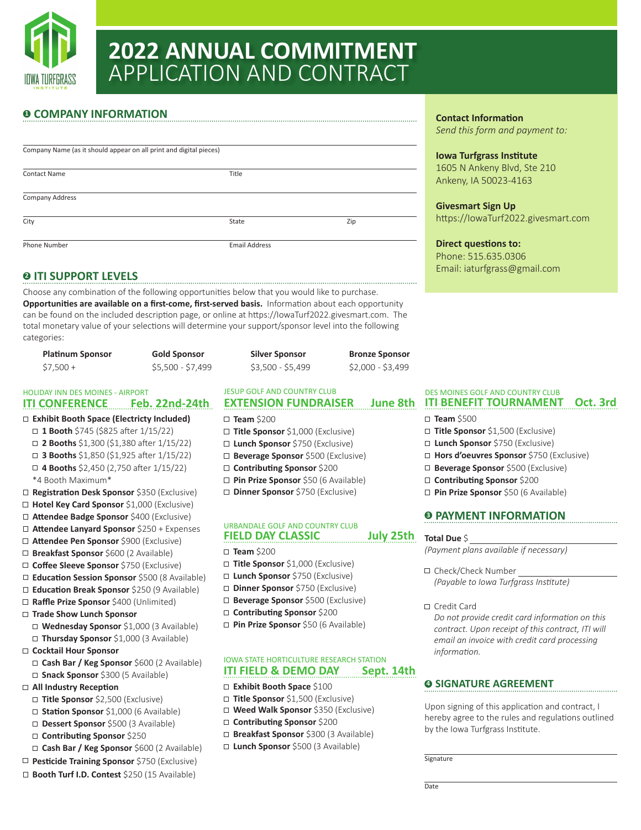

# **2022 ANNUAL COMMITMENT** APPLICATION AND CONTRACT

### **0 COMPANY INFORMATION**

| Company Name (as it should appear on all print and digital pieces) |                      |     |  |  |  |
|--------------------------------------------------------------------|----------------------|-----|--|--|--|
| <b>Contact Name</b>                                                | Title                |     |  |  |  |
| Company Address                                                    |                      |     |  |  |  |
| City                                                               | State                | Zip |  |  |  |
| Phone Number                                                       | <b>Email Address</b> |     |  |  |  |

#### **<sup>2</sup> ITI SUPPORT LEVELS**

Choose any combination of the following opportunities below that you would like to purchase. **Opportunities are available on a first-come, first-served basis.** Information about each opportunity can be found on the included description page, or online at https://IowaTurf2022.givesmart.com. The total monetary value of your selections will determine your support/sponsor level into the following categories:

| <b>Platinum Sponsor</b> | <b>Gold Sponsor</b> | <b>Silver Sponsor</b> | <b>Bronze Sponsor</b> |
|-------------------------|---------------------|-----------------------|-----------------------|
| $$7,500+$               | \$5,500 - \$7,499   | \$3,500 - \$5,499     | $$2,000 - $3,499$     |

#### **ITI CONFERENCE Feb. 22nd-24th** HOLIDAY INN DES MOINES - AIRPORT **EXAMPLE SECUPT AND COUNTRY CLUB** DES MOINES GOLF AND COUNTRY CLUB

- **Exhibit Booth Space (Electricty Included)**
- **1 Booth** \$745 (\$825 after 1/15/22)
- **2 Booths** \$1,300 (\$1,380 after 1/15/22)
- **3 Booths** \$1,850 (\$1,925 after 1/15/22)
- **4 Booths** \$2,450 (2,750 after 1/15/22)
- \*4 Booth Maximum\*
- **Registration Desk Sponsor** \$350 (Exclusive)
- **Hotel Key Card Sponsor** \$1,000 (Exclusive)
- **Attendee Badge Sponsor** \$400 (Exclusive)
- **Attendee Lanyard Sponsor** \$250 + Expenses
- **Attendee Pen Sponsor** \$900 (Exclusive)
- **Breakfast Sponsor** \$600 (2 Available)
- **Coffee Sleeve Sponsor** \$750 (Exclusive)
- **Education Session Sponsor** \$500 (8 Available)
- **Education Break Sponsor** \$250 (9 Available)
- **Raffle Prize Sponsor** \$400 (Unlimited)
- **Trade Show Lunch Sponsor**
	- **Wednesday Sponsor** \$1,000 (3 Available)
	- **Thursday Sponsor** \$1,000 (3 Available)
- **Cocktail Hour Sponsor**
	- □ **Snack Sponsor** \$300 (5 Available) □ **Cash Bar / Keg Sponsor** \$600 (2 Available)
- **All Industry Reception**
	- **Title Sponsor** \$2,500 (Exclusive)
	- □ Station Sponsor \$1,000 (6 Available)
	- **Dessert Sponsor** \$500 (3 Available)
	- **Contributing Sponsor** \$250
- **Cash Bar / Keg Sponsor** \$600 (2 Available)
- **Pesticide Training Sponsor** \$750 (Exclusive)
- **Booth Turf I.D. Contest** \$250 (15 Available)

#### JESUP GOLF AND COUNTRY CLUB

- **Team** \$200
- **Title Sponsor** \$1,000 (Exclusive)
- **Lunch Sponsor** \$750 (Exclusive)
- **Beverage Sponsor** \$500 (Exclusive)
- **Contributing Sponsor** \$200
- **Pin Prize Sponsor** \$50 (6 Available)
- **Dinner Sponsor** \$750 (Exclusive)

#### **FIELD DAY CLASSIC** URBANDALE GOLF AND COUNTRY CLUB

- **Team** \$200
- **Title Sponsor** \$1,000 (Exclusive)
	- **Lunch Sponsor** \$750 (Exclusive)
	- **Dinner Sponsor** \$750 (Exclusive)
	- **Beverage Sponsor** \$500 (Exclusive)
	- **Contributing Sponsor** \$200
	- **Pin Prize Sponsor** \$50 (6 Available)

#### **ITI FIELD & DEMO DAY Sept. 14th** IOWA STATE HORTICULTURE RESEARCH STATION

#### **Exhibit Booth Space** \$100

- **Title Sponsor** \$1,500 (Exclusive)
- **Weed Walk Sponsor** \$350 (Exclusive)
- □ **Contributing Sponsor** \$200
- **Breakfast Sponsor** \$300 (3 Available)
- **Lunch Sponsor** \$500 (3 Available)

#### **Contact Information**

*Send this form and payment to:*

#### **Iowa Turfgrass Institute**

1605 N Ankeny Blvd, Ste 210 Ankeny, IA 50023-4163

**Givesmart Sign Up** https://IowaTurf2022.givesmart.com

**Direct questions to:** Phone: 515.635.0306 Email: iaturfgrass@gmail.com

## **EXTENSION FUNDRAISER June 8th ITI BENEFIT TOURNAMENT Oct. 3rd**

- **Team** \$500
- **Title Sponsor** \$1,500 (Exclusive)
- **Lunch Sponsor** \$750 (Exclusive)
- **Hors d'oeuvres Sponsor** \$750 (Exclusive)
- **Beverage Sponsor** \$500 (Exclusive)
- **Contributing Sponsor** \$200
- **Pin Prize Sponsor** \$50 (6 Available)

#### **<sup>3</sup> PAYMENT INFORMATION**

#### **July 25th** Total Due \$

*(Payment plans available if necessary)*

- □ Check/Check Number *(Payable to Iowa Turfgrass Institute)*
- □ Credit Card

*Do not provide credit card information on this contract. Upon receipt of this contract, ITI will email an invoice with credit card processing information.*

#### **<sup>4</sup> SIGNATURE AGREEMENT**

Upon signing of this application and contract, I hereby agree to the rules and regulations outlined by the Iowa Turfgrass Institute.

Signature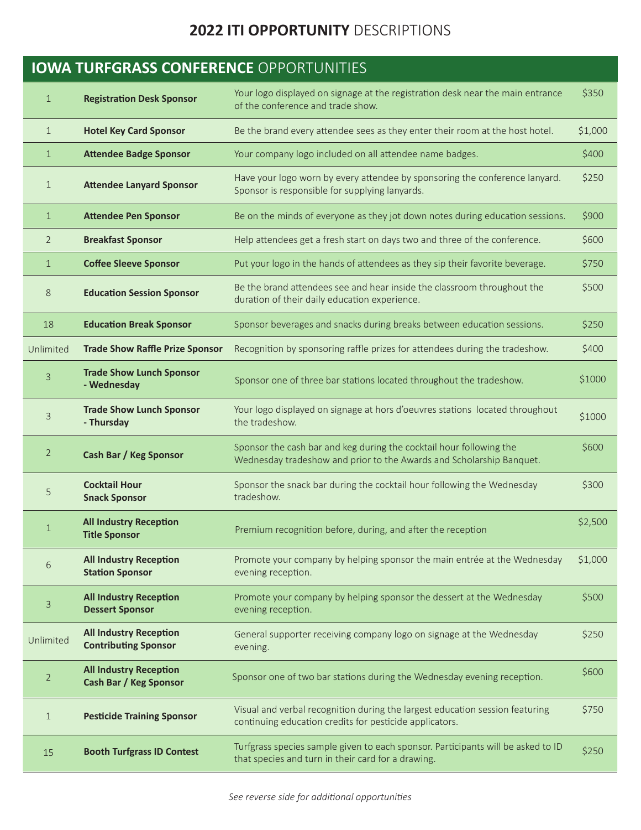## **2022 ITI OPPORTUNITY** DESCRIPTIONS

| <b>IOWA TURFGRASS CONFERENCE OPPORTUNITIES</b> |                                                              |                                                                                                                                             |         |  |  |
|------------------------------------------------|--------------------------------------------------------------|---------------------------------------------------------------------------------------------------------------------------------------------|---------|--|--|
| $\mathbf{1}$                                   | <b>Registration Desk Sponsor</b>                             | Your logo displayed on signage at the registration desk near the main entrance<br>of the conference and trade show.                         | \$350   |  |  |
| $\mathbf 1$                                    | <b>Hotel Key Card Sponsor</b>                                | Be the brand every attendee sees as they enter their room at the host hotel.                                                                | \$1,000 |  |  |
| $\mathbf 1$                                    | <b>Attendee Badge Sponsor</b>                                | Your company logo included on all attendee name badges.                                                                                     | \$400   |  |  |
| 1                                              | <b>Attendee Lanyard Sponsor</b>                              | Have your logo worn by every attendee by sponsoring the conference lanyard.<br>Sponsor is responsible for supplying lanyards.               | \$250   |  |  |
| $\mathbf{1}$                                   | <b>Attendee Pen Sponsor</b>                                  | Be on the minds of everyone as they jot down notes during education sessions.                                                               | \$900   |  |  |
| $\overline{2}$                                 | <b>Breakfast Sponsor</b>                                     | Help attendees get a fresh start on days two and three of the conference.                                                                   | \$600   |  |  |
| $\mathbf 1$                                    | <b>Coffee Sleeve Sponsor</b>                                 | Put your logo in the hands of attendees as they sip their favorite beverage.                                                                | \$750   |  |  |
| 8                                              | <b>Education Session Sponsor</b>                             | Be the brand attendees see and hear inside the classroom throughout the<br>duration of their daily education experience.                    | \$500   |  |  |
| 18                                             | <b>Education Break Sponsor</b>                               | Sponsor beverages and snacks during breaks between education sessions.                                                                      | \$250   |  |  |
| Unlimited                                      | <b>Trade Show Raffle Prize Sponsor</b>                       | Recognition by sponsoring raffle prizes for attendees during the tradeshow.                                                                 | \$400   |  |  |
| 3                                              | <b>Trade Show Lunch Sponsor</b><br>- Wednesday               | Sponsor one of three bar stations located throughout the tradeshow.                                                                         | \$1000  |  |  |
| 3                                              | <b>Trade Show Lunch Sponsor</b><br>- Thursday                | Your logo displayed on signage at hors d'oeuvres stations located throughout<br>the tradeshow.                                              | \$1000  |  |  |
| $\overline{2}$                                 | <b>Cash Bar / Keg Sponsor</b>                                | Sponsor the cash bar and keg during the cocktail hour following the<br>Wednesday tradeshow and prior to the Awards and Scholarship Banquet. | \$600   |  |  |
| 5                                              | <b>Cocktail Hour</b><br><b>Snack Sponsor</b>                 | Sponsor the snack bar during the cocktail hour following the Wednesday<br>tradeshow.                                                        | \$300   |  |  |
|                                                | <b>All Industry Reception</b><br><b>Title Sponsor</b>        | Premium recognition before, during, and after the reception                                                                                 | \$2,500 |  |  |
| $\,$ 6 $\,$                                    | <b>All Industry Reception</b><br><b>Station Sponsor</b>      | Promote your company by helping sponsor the main entrée at the Wednesday<br>evening reception.                                              | \$1,000 |  |  |
| 3                                              | <b>All Industry Reception</b><br><b>Dessert Sponsor</b>      | Promote your company by helping sponsor the dessert at the Wednesday<br>evening reception.                                                  | \$500   |  |  |
| Unlimited                                      | <b>All Industry Reception</b><br><b>Contributing Sponsor</b> | General supporter receiving company logo on signage at the Wednesday<br>evening.                                                            | \$250   |  |  |
| $\overline{2}$                                 | <b>All Industry Reception</b><br>Cash Bar / Keg Sponsor      | Sponsor one of two bar stations during the Wednesday evening reception.                                                                     | \$600   |  |  |
| $\mathbf 1$                                    | <b>Pesticide Training Sponsor</b>                            | Visual and verbal recognition during the largest education session featuring<br>continuing education credits for pesticide applicators.     | \$750   |  |  |
| 15                                             | <b>Booth Turfgrass ID Contest</b>                            | Turfgrass species sample given to each sponsor. Participants will be asked to ID<br>that species and turn in their card for a drawing.      | \$250   |  |  |